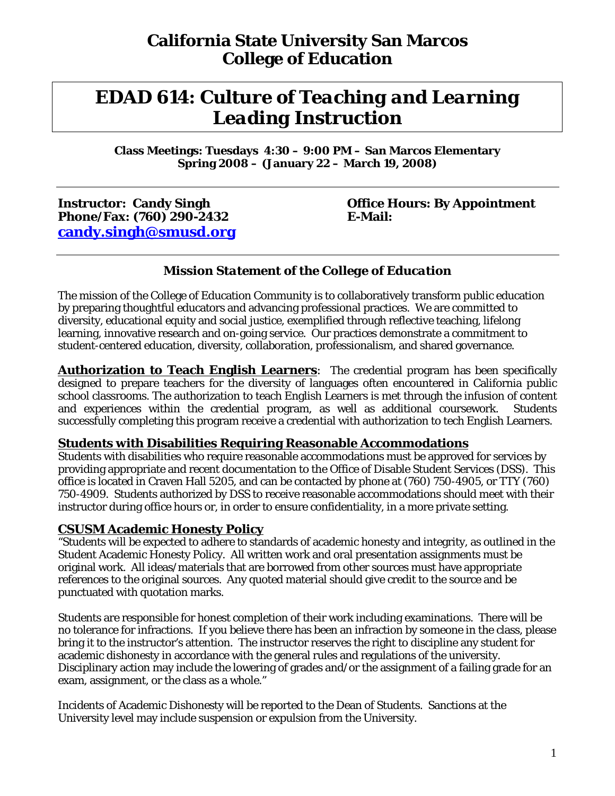# *EDAD 614: Culture of Teaching and Learning Leading Instruction*

**Class Meetings: Tuesdays 4:30 – 9:00 PM – San Marcos Elementary Spring 2008 – (January 22 – March 19, 2008)**

**Phone/Fax: (760) 290-2432 E-Mail: candy.singh@smusd.org** 

# **Instructor: Candy Singh Community Construction: Candy Singh Community Construction: By Appointment**

#### *Mission Statement of the College of Education*

The mission of the College of Education Community is to collaboratively transform public education by preparing thoughtful educators and advancing professional practices. We are committed to diversity, educational equity and social justice, exemplified through reflective teaching, lifelong learning, innovative research and on-going service. Our practices demonstrate a commitment to student-centered education, diversity, collaboration, professionalism, and shared governance.

Authorization to Teach English Learners: The credential program has been specifically designed to prepare teachers for the diversity of languages often encountered in California public school classrooms. The authorization to teach English Learners is met through the infusion of content and experiences within the credential program, as well as additional coursework. Students successfully completing this program receive a credential with authorization to tech English Learners.

#### **Students with Disabilities Requiring Reasonable Accommodations**

Students with disabilities who require reasonable accommodations must be approved for services by providing appropriate and recent documentation to the Office of Disable Student Services (DSS). This office is located in Craven Hall 5205, and can be contacted by phone at (760) 750-4905, or TTY (760) 750-4909. Students authorized by DSS to receive reasonable accommodations should meet with their instructor during office hours or, in order to ensure confidentiality, in a more private setting.

#### **CSUSM Academic Honesty Policy**

"Students will be expected to adhere to standards of academic honesty and integrity, as outlined in the Student Academic Honesty Policy. All written work and oral presentation assignments must be original work. All ideas/materials that are borrowed from other sources must have appropriate references to the original sources. Any quoted material should give credit to the source and be punctuated with quotation marks.

Students are responsible for honest completion of their work including examinations. There will be no tolerance for infractions. If you believe there has been an infraction by someone in the class, please bring it to the instructor's attention. The instructor reserves the right to discipline any student for academic dishonesty in accordance with the general rules and regulations of the university. Disciplinary action may include the lowering of grades and/or the assignment of a failing grade for an exam, assignment, or the class as a whole."

Incidents of Academic Dishonesty will be reported to the Dean of Students. Sanctions at the University level may include suspension or expulsion from the University.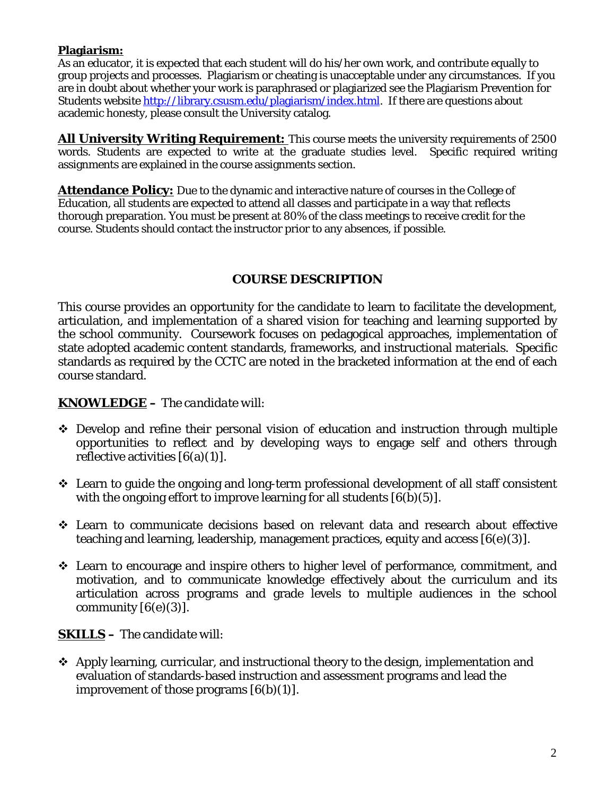#### **Plagiarism:**

As an educator, it is expected that each student will do his/her own work, and contribute equally to group projects and processes. Plagiarism or cheating is unacceptable under any circumstances. If you are in doubt about whether your work is paraphrased or plagiarized see the Plagiarism Prevention for Students website http://library.csusm.edu/plagiarism/index.html. If there are questions about academic honesty, please consult the University catalog.

**All University Writing Requirement:** This course meets the university requirements of 2500 words. Students are expected to write at the graduate studies level. Specific required writing assignments are explained in the course assignments section.

**Attendance Policy:** Due to the dynamic and interactive nature of courses in the College of Education, all students are expected to attend all classes and participate in a way that reflects thorough preparation. You must be present at 80% of the class meetings to receive credit for the course. Students should contact the instructor prior to any absences, if possible.

#### **COURSE DESCRIPTION**

This course provides an opportunity for the candidate to learn to facilitate the development, articulation, and implementation of a shared vision for teaching and learning supported by the school community. Coursework focuses on pedagogical approaches, implementation of state adopted academic content standards, frameworks, and instructional materials. Specific standards as required by the CCTC are noted in the bracketed information at the end of each course standard.

#### **KNOWLEDGE** *– The candidate will:*

- Develop and refine their personal vision of education and instruction through multiple opportunities to reflect and by developing ways to engage self and others through reflective activities  $[6(a)(1)]$ .
- $\div$  Learn to guide the ongoing and long-term professional development of all staff consistent with the ongoing effort to improve learning for all students  $[6(b)(5)]$ .
- Learn to communicate decisions based on relevant data and research about effective teaching and learning, leadership, management practices, equity and access [6(e)(3)].
- Learn to encourage and inspire others to higher level of performance, commitment, and motivation, and to communicate knowledge effectively about the curriculum and its articulation across programs and grade levels to multiple audiences in the school community  $[6(e)(3)]$ .

#### **SKILLS –** *The candidate will:*

 $\div$  Apply learning, curricular, and instructional theory to the design, implementation and evaluation of standards-based instruction and assessment programs and lead the improvement of those programs  $[6(b)(1)]$ .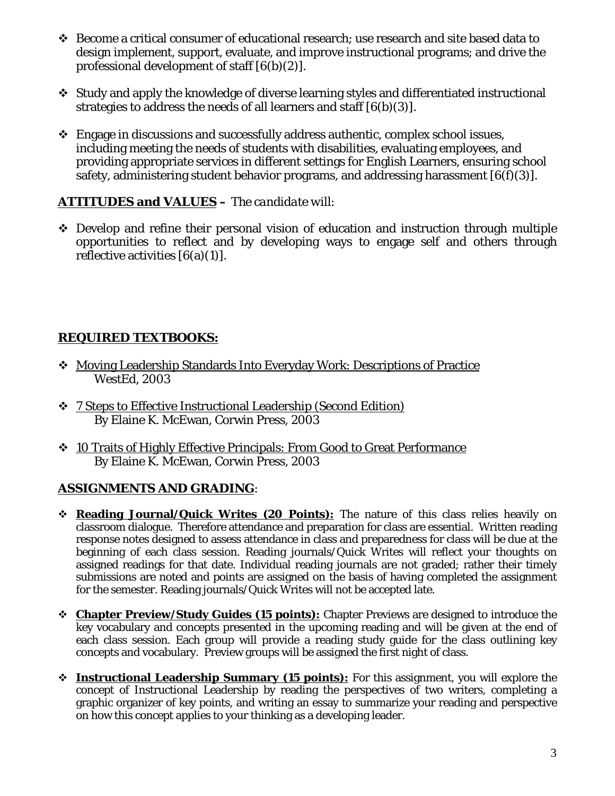- Become a critical consumer of educational research; use research and site based data to design implement, support, evaluate, and improve instructional programs; and drive the professional development of staff [6(b)(2)].
- Study and apply the knowledge of diverse learning styles and differentiated instructional strategies to address the needs of all learners and staff [6(b)(3)].
- $\div$  Engage in discussions and successfully address authentic, complex school issues, including meeting the needs of students with disabilities, evaluating employees, and providing appropriate services in different settings for English Learners, ensuring school safety, administering student behavior programs, and addressing harassment  $[6(f)(3)]$ .

#### **ATTITUDES and VALUES –** *The candidate will:*

 Develop and refine their personal vision of education and instruction through multiple opportunities to reflect and by developing ways to engage self and others through reflective activities  $[6(a)(1)]$ .

## **REQUIRED TEXTBOOKS:**

- Moving Leadership Standards Into Everyday Work: Descriptions of Practice WestEd, 2003
- 7 Steps to Effective Instructional Leadership (Second Edition) By Elaine K. McEwan, Corwin Press, 2003
- 10 Traits of Highly Effective Principals: From Good to Great Performance By Elaine K. McEwan, Corwin Press, 2003

## **ASSIGNMENTS AND GRADING**:

- **Reading Journal/Quick Writes (20 Points):** The nature of this class relies heavily on classroom dialogue. Therefore attendance and preparation for class are essential. Written reading response notes designed to assess attendance in class and preparedness for class will be due at the beginning of each class session. Reading journals/Quick Writes will reflect your thoughts on assigned readings for that date. Individual reading journals are not graded; rather their timely submissions are noted and points are assigned on the basis of having completed the assignment for the semester. Reading journals/Quick Writes will not be accepted late.
- **Chapter Preview/Study Guides (15 points):** Chapter Previews are designed to introduce the key vocabulary and concepts presented in the upcoming reading and will be given at the end of each class session. Each group will provide a reading study guide for the class outlining key concepts and vocabulary. Preview groups will be assigned the first night of class.
- **Instructional Leadership Summary (15 points):** For this assignment, you will explore the concept of Instructional Leadership by reading the perspectives of two writers, completing a graphic organizer of key points, and writing an essay to summarize your reading and perspective on how this concept applies to your thinking as a developing leader.